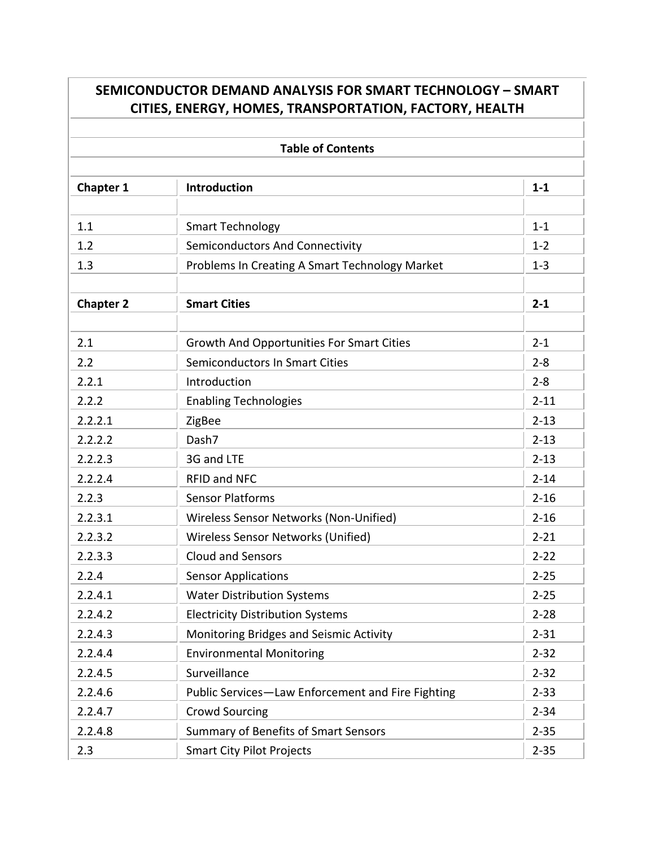## **SEMICONDUCTOR DEMAND ANALYSIS FOR SMART TECHNOLOGY – SMART CITIES, ENERGY, HOMES, TRANSPORTATION, FACTORY, HEALTH**

|                  | <b>Table of Contents</b>                          |          |
|------------------|---------------------------------------------------|----------|
| <b>Chapter 1</b> | <b>Introduction</b>                               | $1 - 1$  |
| 1.1              | <b>Smart Technology</b>                           | $1 - 1$  |
| 1.2              | <b>Semiconductors And Connectivity</b>            | $1 - 2$  |
| 1.3              | Problems In Creating A Smart Technology Market    | $1 - 3$  |
| <b>Chapter 2</b> | <b>Smart Cities</b>                               | $2 - 1$  |
| 2.1              | <b>Growth And Opportunities For Smart Cities</b>  | $2 - 1$  |
| 2.2              | Semiconductors In Smart Cities                    | $2 - 8$  |
| 2.2.1            | Introduction                                      | $2 - 8$  |
| 2.2.2            | <b>Enabling Technologies</b>                      | $2 - 11$ |
| 2.2.2.1          | ZigBee                                            | $2 - 13$ |
| 2.2.2.2          | Dash7                                             | $2 - 13$ |
| 2.2.2.3          | 3G and LTE                                        | $2 - 13$ |
| 2.2.2.4          | <b>RFID and NFC</b>                               | $2 - 14$ |
| 2.2.3            | <b>Sensor Platforms</b>                           | $2 - 16$ |
| 2.2.3.1          | Wireless Sensor Networks (Non-Unified)            | $2 - 16$ |
| 2.2.3.2          | <b>Wireless Sensor Networks (Unified)</b>         | $2 - 21$ |
| 2.2.3.3          | <b>Cloud and Sensors</b>                          | $2 - 22$ |
| 2.2.4            | <b>Sensor Applications</b>                        | $2 - 25$ |
| 2.2.4.1          | <b>Water Distribution Systems</b>                 | $2 - 25$ |
| 2.2.4.2          | <b>Electricity Distribution Systems</b>           | $2 - 28$ |
| 2.2.4.3          | Monitoring Bridges and Seismic Activity           | $2 - 31$ |
| 2.2.4.4          | <b>Environmental Monitoring</b>                   | $2 - 32$ |
| 2.2.4.5          | Surveillance                                      | $2 - 32$ |
| 2.2.4.6          | Public Services-Law Enforcement and Fire Fighting | $2 - 33$ |
| 2.2.4.7          | <b>Crowd Sourcing</b>                             | $2 - 34$ |
| 2.2.4.8          | <b>Summary of Benefits of Smart Sensors</b>       | $2 - 35$ |
| 2.3              | <b>Smart City Pilot Projects</b>                  | $2 - 35$ |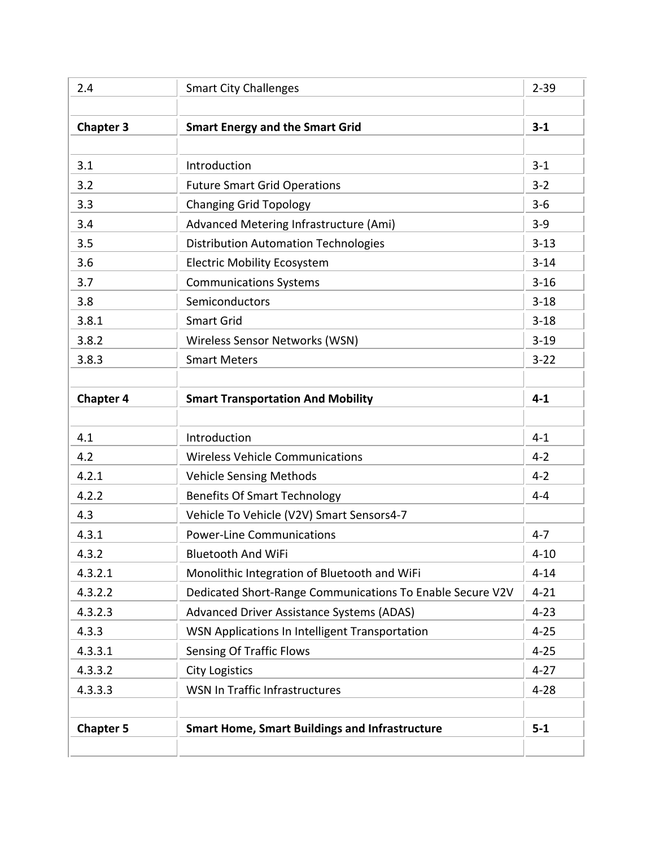| 2.4              | <b>Smart City Challenges</b>                              | $2 - 39$ |
|------------------|-----------------------------------------------------------|----------|
|                  |                                                           |          |
| <b>Chapter 3</b> | <b>Smart Energy and the Smart Grid</b>                    | $3 - 1$  |
| 3.1              | Introduction                                              | $3 - 1$  |
| 3.2              | <b>Future Smart Grid Operations</b>                       | $3 - 2$  |
| 3.3              | <b>Changing Grid Topology</b>                             | $3 - 6$  |
| 3.4              | Advanced Metering Infrastructure (Ami)                    | $3 - 9$  |
| 3.5              | <b>Distribution Automation Technologies</b>               | $3 - 13$ |
| 3.6              | <b>Electric Mobility Ecosystem</b>                        | $3 - 14$ |
| 3.7              | <b>Communications Systems</b>                             | $3 - 16$ |
| 3.8              | Semiconductors                                            | $3 - 18$ |
| 3.8.1            | <b>Smart Grid</b>                                         | $3 - 18$ |
| 3.8.2            | Wireless Sensor Networks (WSN)                            | $3-19$   |
| 3.8.3            | <b>Smart Meters</b>                                       | $3 - 22$ |
| <b>Chapter 4</b> | <b>Smart Transportation And Mobility</b>                  | $4 - 1$  |
|                  |                                                           |          |
| 4.1              | Introduction                                              | $4 - 1$  |
| 4.2              | <b>Wireless Vehicle Communications</b>                    | $4 - 2$  |
| 4.2.1            | <b>Vehicle Sensing Methods</b>                            | $4 - 2$  |
| 4.2.2            | <b>Benefits Of Smart Technology</b>                       | $4 - 4$  |
| 4.3              | Vehicle To Vehicle (V2V) Smart Sensors4-7                 |          |
| 4.3.1            | <b>Power-Line Communications</b>                          | $4 - 7$  |
| 4.3.2            | <b>Bluetooth And WiFi</b>                                 | $4 - 10$ |
| 4.3.2.1          | Monolithic Integration of Bluetooth and WiFi              | $4 - 14$ |
| 4.3.2.2          | Dedicated Short-Range Communications To Enable Secure V2V | $4 - 21$ |
| 4.3.2.3          | <b>Advanced Driver Assistance Systems (ADAS)</b>          | $4 - 23$ |
| 4.3.3            | WSN Applications In Intelligent Transportation            | $4 - 25$ |
| 4.3.3.1          | <b>Sensing Of Traffic Flows</b>                           | $4 - 25$ |
| 4.3.3.2          | <b>City Logistics</b>                                     | $4 - 27$ |
| 4.3.3.3          | <b>WSN In Traffic Infrastructures</b>                     | $4 - 28$ |
|                  |                                                           |          |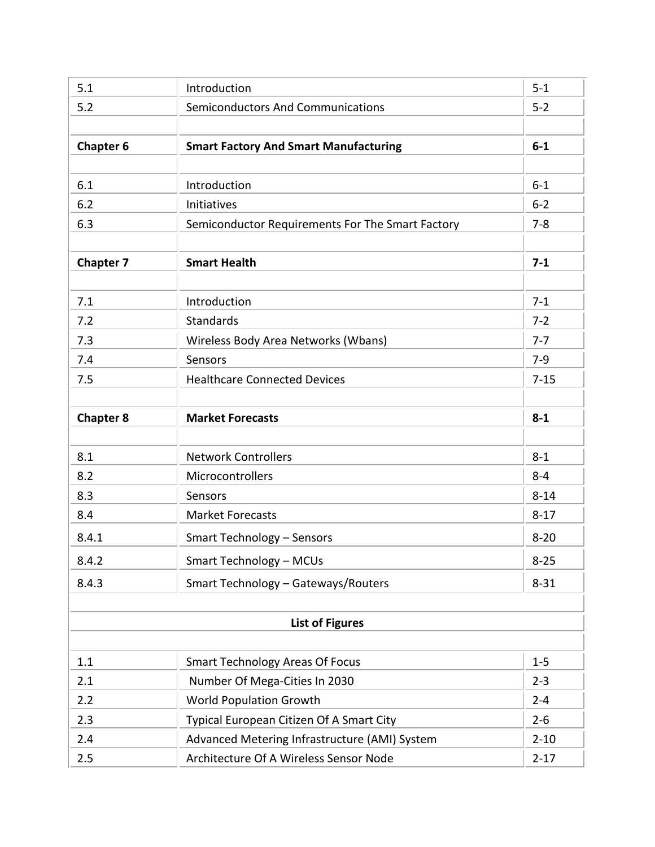| 5.1              | Introduction                                     | $5 - 1$  |
|------------------|--------------------------------------------------|----------|
| 5.2              | Semiconductors And Communications                | $5 - 2$  |
|                  |                                                  |          |
| <b>Chapter 6</b> | <b>Smart Factory And Smart Manufacturing</b>     | $6-1$    |
|                  |                                                  |          |
| 6.1              | Introduction                                     | $6-1$    |
| 6.2              | Initiatives                                      | $6 - 2$  |
| 6.3              | Semiconductor Requirements For The Smart Factory | $7 - 8$  |
| <b>Chapter 7</b> | <b>Smart Health</b>                              | $7 - 1$  |
| 7.1              | Introduction                                     | $7 - 1$  |
| 7.2              | <b>Standards</b>                                 | $7 - 2$  |
| 7.3              | Wireless Body Area Networks (Wbans)              | $7 - 7$  |
| 7.4              | Sensors                                          | $7-9$    |
| 7.5              | <b>Healthcare Connected Devices</b>              | $7 - 15$ |
|                  |                                                  |          |
| <b>Chapter 8</b> | <b>Market Forecasts</b>                          | $8 - 1$  |
|                  |                                                  |          |
| 8.1              | <b>Network Controllers</b>                       | $8 - 1$  |
| 8.2              | Microcontrollers                                 | $8 - 4$  |
| 8.3              | Sensors                                          | $8 - 14$ |
| 8.4              | <b>Market Forecasts</b>                          | $8 - 17$ |
| 8.4.1            | <b>Smart Technology - Sensors</b>                | $8 - 20$ |
| 8.4.2            | <b>Smart Technology - MCUs</b>                   | $8 - 25$ |
| 8.4.3            | Smart Technology - Gateways/Routers              | $8 - 31$ |
|                  | <b>List of Figures</b>                           |          |
|                  |                                                  |          |
| 1.1              | <b>Smart Technology Areas Of Focus</b>           | $1 - 5$  |
| 2.1              | Number Of Mega-Cities In 2030                    | $2 - 3$  |
| 2.2              | <b>World Population Growth</b>                   | $2 - 4$  |
| 2.3              | Typical European Citizen Of A Smart City         | $2 - 6$  |
| 2.4              | Advanced Metering Infrastructure (AMI) System    | $2 - 10$ |
| 2.5              | Architecture Of A Wireless Sensor Node           | $2 - 17$ |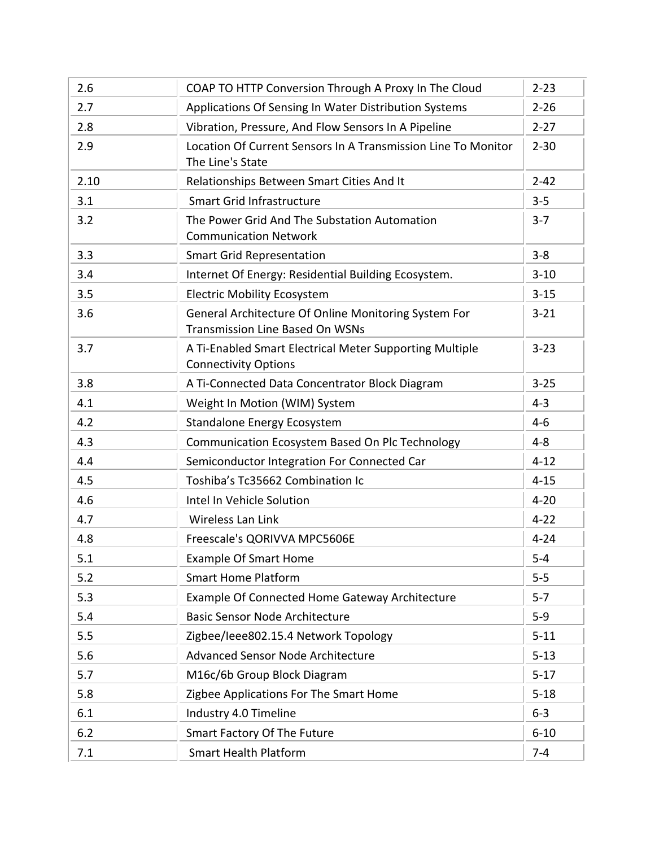| 2.6  | COAP TO HTTP Conversion Through A Proxy In The Cloud                                           | $2 - 23$ |
|------|------------------------------------------------------------------------------------------------|----------|
| 2.7  | Applications Of Sensing In Water Distribution Systems                                          | $2 - 26$ |
| 2.8  | Vibration, Pressure, And Flow Sensors In A Pipeline                                            | $2 - 27$ |
| 2.9  | Location Of Current Sensors In A Transmission Line To Monitor<br>The Line's State              | $2 - 30$ |
| 2.10 | Relationships Between Smart Cities And It                                                      | $2 - 42$ |
| 3.1  | <b>Smart Grid Infrastructure</b>                                                               | $3 - 5$  |
| 3.2  | The Power Grid And The Substation Automation<br><b>Communication Network</b>                   | $3 - 7$  |
| 3.3  | <b>Smart Grid Representation</b>                                                               | $3 - 8$  |
| 3.4  | Internet Of Energy: Residential Building Ecosystem.                                            | $3 - 10$ |
| 3.5  | <b>Electric Mobility Ecosystem</b>                                                             | $3 - 15$ |
| 3.6  | General Architecture Of Online Monitoring System For<br><b>Transmission Line Based On WSNs</b> | $3 - 21$ |
| 3.7  | A Ti-Enabled Smart Electrical Meter Supporting Multiple<br><b>Connectivity Options</b>         | $3 - 23$ |
| 3.8  | A Ti-Connected Data Concentrator Block Diagram                                                 | $3 - 25$ |
| 4.1  | Weight In Motion (WIM) System                                                                  | $4 - 3$  |
| 4.2  | <b>Standalone Energy Ecosystem</b>                                                             | $4 - 6$  |
| 4.3  | Communication Ecosystem Based On Plc Technology                                                | $4 - 8$  |
| 4.4  | Semiconductor Integration For Connected Car                                                    | $4 - 12$ |
| 4.5  | Toshiba's Tc35662 Combination Ic                                                               | $4 - 15$ |
| 4.6  | Intel In Vehicle Solution                                                                      | $4 - 20$ |
| 4.7  | Wireless Lan Link                                                                              | $4 - 22$ |
| 4.8  | Freescale's QORIVVA MPC5606E                                                                   | $4 - 24$ |
| 5.1  | <b>Example Of Smart Home</b>                                                                   | $5 - 4$  |
| 5.2  | <b>Smart Home Platform</b>                                                                     | $5 - 5$  |
| 5.3  | Example Of Connected Home Gateway Architecture                                                 | $5 - 7$  |
| 5.4  | <b>Basic Sensor Node Architecture</b>                                                          | $5-9$    |
| 5.5  | Zigbee/leee802.15.4 Network Topology                                                           | $5 - 11$ |
| 5.6  | <b>Advanced Sensor Node Architecture</b>                                                       | $5 - 13$ |
| 5.7  | M16c/6b Group Block Diagram                                                                    | $5 - 17$ |
| 5.8  | Zigbee Applications For The Smart Home                                                         | $5 - 18$ |
| 6.1  | Industry 4.0 Timeline                                                                          | $6 - 3$  |
| 6.2  | <b>Smart Factory Of The Future</b>                                                             | $6 - 10$ |
| 7.1  | <b>Smart Health Platform</b>                                                                   | $7 - 4$  |